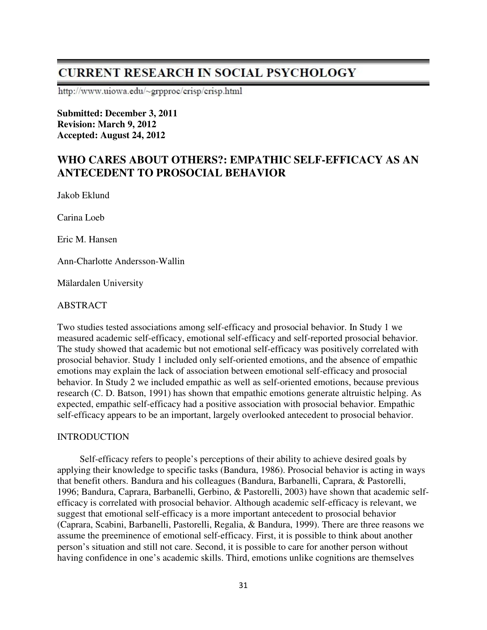# **CURRENT RESEARCH IN SOCIAL PSYCHOLOGY**

http://www.uiowa.edu/~grpproc/crisp/crisp.html

**Submitted: December 3, 2011 Revision: March 9, 2012 Accepted: August 24, 2012** 

# **WHO CARES ABOUT OTHERS?: EMPATHIC SELF-EFFICACY AS AN ANTECEDENT TO PROSOCIAL BEHAVIOR**

Jakob Eklund

Carina Loeb

Eric M. Hansen

Ann-Charlotte Andersson-Wallin

Mälardalen University

#### ABSTRACT

Two studies tested associations among self-efficacy and prosocial behavior. In Study 1 we measured academic self-efficacy, emotional self-efficacy and self-reported prosocial behavior. The study showed that academic but not emotional self-efficacy was positively correlated with prosocial behavior. Study 1 included only self-oriented emotions, and the absence of empathic emotions may explain the lack of association between emotional self-efficacy and prosocial behavior. In Study 2 we included empathic as well as self-oriented emotions, because previous research (C. D. Batson, 1991) has shown that empathic emotions generate altruistic helping. As expected, empathic self-efficacy had a positive association with prosocial behavior. Empathic self-efficacy appears to be an important, largely overlooked antecedent to prosocial behavior.

#### INTRODUCTION

Self-efficacy refers to people's perceptions of their ability to achieve desired goals by applying their knowledge to specific tasks (Bandura, 1986). Prosocial behavior is acting in ways that benefit others. Bandura and his colleagues (Bandura, Barbanelli, Caprara, & Pastorelli, 1996; Bandura, Caprara, Barbanelli, Gerbino, & Pastorelli, 2003) have shown that academic selfefficacy is correlated with prosocial behavior. Although academic self-efficacy is relevant, we suggest that emotional self-efficacy is a more important antecedent to prosocial behavior (Caprara, Scabini, Barbanelli, Pastorelli, Regalia, & Bandura, 1999). There are three reasons we assume the preeminence of emotional self-efficacy. First, it is possible to think about another person's situation and still not care. Second, it is possible to care for another person without having confidence in one's academic skills. Third, emotions unlike cognitions are themselves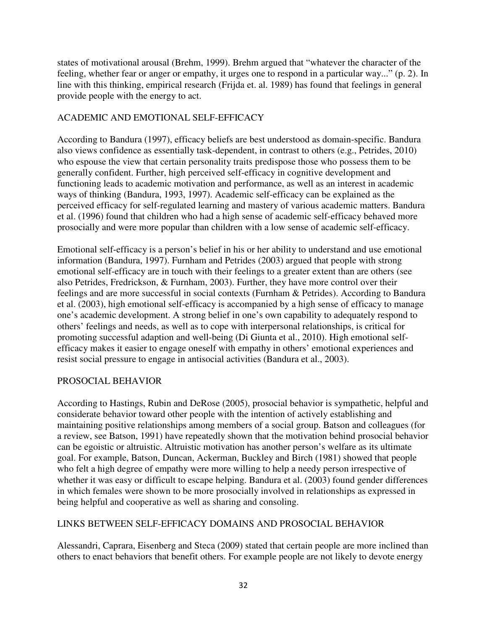states of motivational arousal (Brehm, 1999). Brehm argued that "whatever the character of the feeling, whether fear or anger or empathy, it urges one to respond in a particular way..." (p. 2). In line with this thinking, empirical research (Frijda et. al. 1989) has found that feelings in general provide people with the energy to act.

# ACADEMIC AND EMOTIONAL SELF-EFFICACY

According to Bandura (1997), efficacy beliefs are best understood as domain-specific. Bandura also views confidence as essentially task-dependent, in contrast to others (e.g., Petrides, 2010) who espouse the view that certain personality traits predispose those who possess them to be generally confident. Further, high perceived self-efficacy in cognitive development and functioning leads to academic motivation and performance, as well as an interest in academic ways of thinking (Bandura, 1993, 1997). Academic self-efficacy can be explained as the perceived efficacy for self-regulated learning and mastery of various academic matters. Bandura et al. (1996) found that children who had a high sense of academic self-efficacy behaved more prosocially and were more popular than children with a low sense of academic self-efficacy.

Emotional self-efficacy is a person's belief in his or her ability to understand and use emotional information (Bandura, 1997). Furnham and Petrides (2003) argued that people with strong emotional self-efficacy are in touch with their feelings to a greater extent than are others (see also Petrides, Fredrickson, & Furnham, 2003). Further, they have more control over their feelings and are more successful in social contexts (Furnham & Petrides). According to Bandura et al. (2003), high emotional self-efficacy is accompanied by a high sense of efficacy to manage one's academic development. A strong belief in one's own capability to adequately respond to others' feelings and needs, as well as to cope with interpersonal relationships, is critical for promoting successful adaption and well-being (Di Giunta et al., 2010). High emotional selfefficacy makes it easier to engage oneself with empathy in others' emotional experiences and resist social pressure to engage in antisocial activities (Bandura et al., 2003).

## PROSOCIAL BEHAVIOR

According to Hastings, Rubin and DeRose (2005), prosocial behavior is sympathetic, helpful and considerate behavior toward other people with the intention of actively establishing and maintaining positive relationships among members of a social group. Batson and colleagues (for a review, see Batson, 1991) have repeatedly shown that the motivation behind prosocial behavior can be egoistic or altruistic. Altruistic motivation has another person's welfare as its ultimate goal. For example, Batson, Duncan, Ackerman, Buckley and Birch (1981) showed that people who felt a high degree of empathy were more willing to help a needy person irrespective of whether it was easy or difficult to escape helping. Bandura et al. (2003) found gender differences in which females were shown to be more prosocially involved in relationships as expressed in being helpful and cooperative as well as sharing and consoling.

## LINKS BETWEEN SELF-EFFICACY DOMAINS AND PROSOCIAL BEHAVIOR

Alessandri, Caprara, Eisenberg and Steca (2009) stated that certain people are more inclined than others to enact behaviors that benefit others. For example people are not likely to devote energy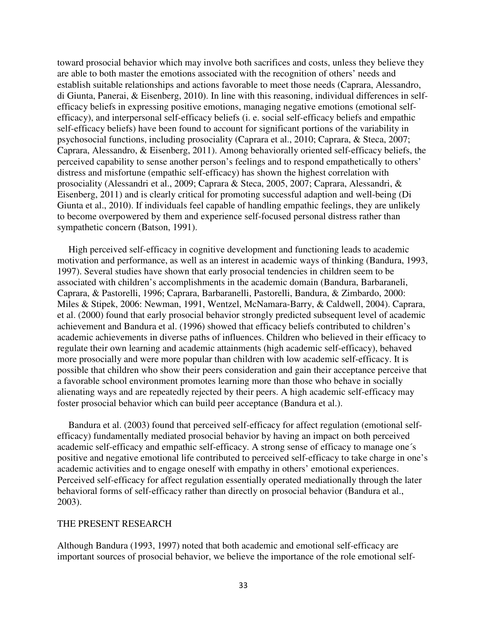toward prosocial behavior which may involve both sacrifices and costs, unless they believe they are able to both master the emotions associated with the recognition of others' needs and establish suitable relationships and actions favorable to meet those needs (Caprara, Alessandro, di Giunta, Panerai, & Eisenberg, 2010). In line with this reasoning, individual differences in selfefficacy beliefs in expressing positive emotions, managing negative emotions (emotional selfefficacy), and interpersonal self-efficacy beliefs (i. e. social self-efficacy beliefs and empathic self-efficacy beliefs) have been found to account for significant portions of the variability in psychosocial functions, including prosociality (Caprara et al., 2010; Caprara, & Steca, 2007; Caprara, Alessandro, & Eisenberg, 2011). Among behaviorally oriented self-efficacy beliefs, the perceived capability to sense another person's feelings and to respond empathetically to others' distress and misfortune (empathic self-efficacy) has shown the highest correlation with prosociality (Alessandri et al., 2009; Caprara & Steca, 2005, 2007; Caprara, Alessandri, & Eisenberg, 2011) and is clearly critical for promoting successful adaption and well-being (Di Giunta et al., 2010). If individuals feel capable of handling empathic feelings, they are unlikely to become overpowered by them and experience self-focused personal distress rather than sympathetic concern (Batson, 1991).

High perceived self-efficacy in cognitive development and functioning leads to academic motivation and performance, as well as an interest in academic ways of thinking (Bandura, 1993, 1997). Several studies have shown that early prosocial tendencies in children seem to be associated with children's accomplishments in the academic domain (Bandura, Barbaraneli, Caprara, & Pastorelli, 1996; Caprara, Barbaranelli, Pastorelli, Bandura, & Zimbardo, 2000: Miles & Stipek, 2006: Newman, 1991, Wentzel, McNamara-Barry, & Caldwell, 2004). Caprara, et al. (2000) found that early prosocial behavior strongly predicted subsequent level of academic achievement and Bandura et al. (1996) showed that efficacy beliefs contributed to children's academic achievements in diverse paths of influences. Children who believed in their efficacy to regulate their own learning and academic attainments (high academic self-efficacy), behaved more prosocially and were more popular than children with low academic self-efficacy. It is possible that children who show their peers consideration and gain their acceptance perceive that a favorable school environment promotes learning more than those who behave in socially alienating ways and are repeatedly rejected by their peers. A high academic self-efficacy may foster prosocial behavior which can build peer acceptance (Bandura et al.).

Bandura et al. (2003) found that perceived self-efficacy for affect regulation (emotional selfefficacy) fundamentally mediated prosocial behavior by having an impact on both perceived academic self-efficacy and empathic self-efficacy. A strong sense of efficacy to manage one´s positive and negative emotional life contributed to perceived self-efficacy to take charge in one's academic activities and to engage oneself with empathy in others' emotional experiences. Perceived self-efficacy for affect regulation essentially operated mediationally through the later behavioral forms of self-efficacy rather than directly on prosocial behavior (Bandura et al., 2003).

#### THE PRESENT RESEARCH

Although Bandura (1993, 1997) noted that both academic and emotional self-efficacy are important sources of prosocial behavior, we believe the importance of the role emotional self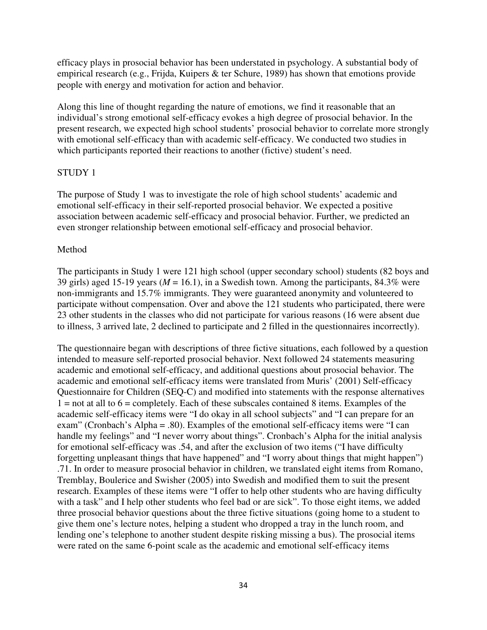efficacy plays in prosocial behavior has been understated in psychology. A substantial body of empirical research (e.g., Frijda, Kuipers & ter Schure, 1989) has shown that emotions provide people with energy and motivation for action and behavior.

Along this line of thought regarding the nature of emotions, we find it reasonable that an individual's strong emotional self-efficacy evokes a high degree of prosocial behavior. In the present research, we expected high school students' prosocial behavior to correlate more strongly with emotional self-efficacy than with academic self-efficacy. We conducted two studies in which participants reported their reactions to another (fictive) student's need.

#### STUDY 1

The purpose of Study 1 was to investigate the role of high school students' academic and emotional self-efficacy in their self-reported prosocial behavior. We expected a positive association between academic self-efficacy and prosocial behavior. Further, we predicted an even stronger relationship between emotional self-efficacy and prosocial behavior.

#### Method

The participants in Study 1 were 121 high school (upper secondary school) students (82 boys and 39 girls) aged 15-19 years ( $M = 16.1$ ), in a Swedish town. Among the participants, 84.3% were non-immigrants and 15.7% immigrants. They were guaranteed anonymity and volunteered to participate without compensation. Over and above the 121 students who participated, there were 23 other students in the classes who did not participate for various reasons (16 were absent due to illness, 3 arrived late, 2 declined to participate and 2 filled in the questionnaires incorrectly).

The questionnaire began with descriptions of three fictive situations, each followed by a question intended to measure self-reported prosocial behavior. Next followed 24 statements measuring academic and emotional self-efficacy, and additional questions about prosocial behavior. The academic and emotional self-efficacy items were translated from Muris' (2001) Self-efficacy Questionnaire for Children (SEQ-C) and modified into statements with the response alternatives  $1 =$  not at all to  $6 =$  completely. Each of these subscales contained 8 items. Examples of the academic self-efficacy items were "I do okay in all school subjects" and "I can prepare for an exam" (Cronbach's Alpha = .80). Examples of the emotional self-efficacy items were "I can handle my feelings" and "I never worry about things". Cronbach's Alpha for the initial analysis for emotional self-efficacy was .54, and after the exclusion of two items ("I have difficulty forgetting unpleasant things that have happened" and "I worry about things that might happen") .71. In order to measure prosocial behavior in children, we translated eight items from Romano, Tremblay, Boulerice and Swisher (2005) into Swedish and modified them to suit the present research. Examples of these items were "I offer to help other students who are having difficulty with a task" and I help other students who feel bad or are sick". To those eight items, we added three prosocial behavior questions about the three fictive situations (going home to a student to give them one's lecture notes, helping a student who dropped a tray in the lunch room, and lending one's telephone to another student despite risking missing a bus). The prosocial items were rated on the same 6-point scale as the academic and emotional self-efficacy items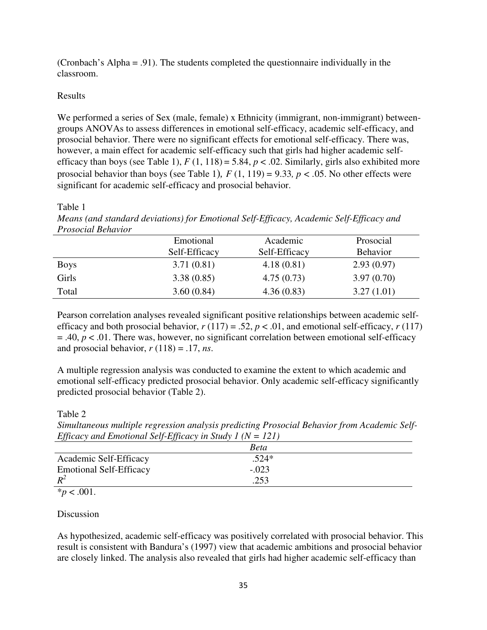(Cronbach's Alpha = .91). The students completed the questionnaire individually in the classroom.

### Results

We performed a series of Sex (male, female) x Ethnicity (immigrant, non-immigrant) betweengroups ANOVAs to assess differences in emotional self-efficacy, academic self-efficacy, and prosocial behavior. There were no significant effects for emotional self-efficacy. There was, however, a main effect for academic self-efficacy such that girls had higher academic selfefficacy than boys (see Table 1),  $F(1, 118) = 5.84$ ,  $p < .02$ . Similarly, girls also exhibited more prosocial behavior than boys (see Table 1),  $F(1, 119) = 9.33$ ,  $p < .05$ . No other effects were significant for academic self-efficacy and prosocial behavior.

#### Table 1

*Means (and standard deviations) for Emotional Self-Efficacy, Academic Self-Efficacy and Prosocial Behavior*

|             | Emotional<br>Self-Efficacy | Academic<br>Self-Efficacy | Prosocial<br><b>Behavior</b> |
|-------------|----------------------------|---------------------------|------------------------------|
| <b>Boys</b> | 3.71(0.81)                 | 4.18(0.81)                | 2.93(0.97)                   |
| Girls       | 3.38(0.85)                 | 4.75(0.73)                | 3.97(0.70)                   |
| Total       | 3.60(0.84)                 | 4.36(0.83)                | 3.27(1.01)                   |

Pearson correlation analyses revealed significant positive relationships between academic selfefficacy and both prosocial behavior,  $r(117) = .52$ ,  $p < .01$ , and emotional self-efficacy,  $r(117)$  $=$  .40,  $p < 0.01$ . There was, however, no significant correlation between emotional self-efficacy and prosocial behavior,  $r(118) = .17$ , *ns*.

A multiple regression analysis was conducted to examine the extent to which academic and emotional self-efficacy predicted prosocial behavior. Only academic self-efficacy significantly predicted prosocial behavior (Table 2).

#### Table 2

*Simultaneous multiple regression analysis predicting Prosocial Behavior from Academic Self-Efficacy and Emotional Self-Efficacy in Study 1 (N = 121)* 

| $\sim$                         | $\cdots$    |  |
|--------------------------------|-------------|--|
|                                | <b>Beta</b> |  |
| Academic Self-Efficacy         | $.524*$     |  |
| <b>Emotional Self-Efficacy</b> | $-.023$     |  |
| $R^2$                          | 252         |  |

 $*_{p}$  < .001.

## Discussion

As hypothesized, academic self-efficacy was positively correlated with prosocial behavior. This result is consistent with Bandura's (1997) view that academic ambitions and prosocial behavior are closely linked. The analysis also revealed that girls had higher academic self-efficacy than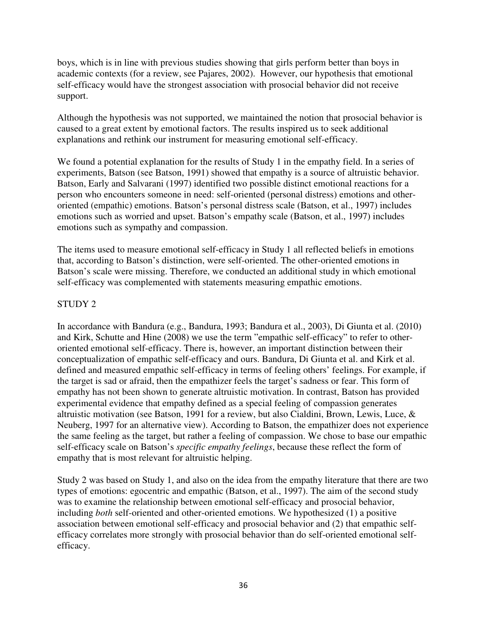boys, which is in line with previous studies showing that girls perform better than boys in academic contexts (for a review, see Pajares, 2002). However, our hypothesis that emotional self-efficacy would have the strongest association with prosocial behavior did not receive support.

Although the hypothesis was not supported, we maintained the notion that prosocial behavior is caused to a great extent by emotional factors. The results inspired us to seek additional explanations and rethink our instrument for measuring emotional self-efficacy.

We found a potential explanation for the results of Study 1 in the empathy field. In a series of experiments, Batson (see Batson, 1991) showed that empathy is a source of altruistic behavior. Batson, Early and Salvarani (1997) identified two possible distinct emotional reactions for a person who encounters someone in need: self-oriented (personal distress) emotions and otheroriented (empathic) emotions. Batson's personal distress scale (Batson, et al., 1997) includes emotions such as worried and upset. Batson's empathy scale (Batson, et al., 1997) includes emotions such as sympathy and compassion.

The items used to measure emotional self-efficacy in Study 1 all reflected beliefs in emotions that, according to Batson's distinction, were self-oriented. The other-oriented emotions in Batson's scale were missing. Therefore, we conducted an additional study in which emotional self-efficacy was complemented with statements measuring empathic emotions.

#### STUDY 2

In accordance with Bandura (e.g., Bandura, 1993; Bandura et al., 2003), Di Giunta et al. (2010) and Kirk, Schutte and Hine (2008) we use the term "empathic self-efficacy" to refer to otheroriented emotional self-efficacy. There is, however, an important distinction between their conceptualization of empathic self-efficacy and ours. Bandura, Di Giunta et al. and Kirk et al. defined and measured empathic self-efficacy in terms of feeling others' feelings. For example, if the target is sad or afraid, then the empathizer feels the target's sadness or fear. This form of empathy has not been shown to generate altruistic motivation. In contrast, Batson has provided experimental evidence that empathy defined as a special feeling of compassion generates altruistic motivation (see Batson, 1991 for a review, but also Cialdini, Brown, Lewis, Luce, & Neuberg, 1997 for an alternative view). According to Batson, the empathizer does not experience the same feeling as the target, but rather a feeling of compassion. We chose to base our empathic self-efficacy scale on Batson's *specific empathy feelings*, because these reflect the form of empathy that is most relevant for altruistic helping.

Study 2 was based on Study 1, and also on the idea from the empathy literature that there are two types of emotions: egocentric and empathic (Batson, et al., 1997). The aim of the second study was to examine the relationship between emotional self-efficacy and prosocial behavior, including *both* self-oriented and other-oriented emotions. We hypothesized (1) a positive association between emotional self-efficacy and prosocial behavior and (2) that empathic selfefficacy correlates more strongly with prosocial behavior than do self-oriented emotional selfefficacy.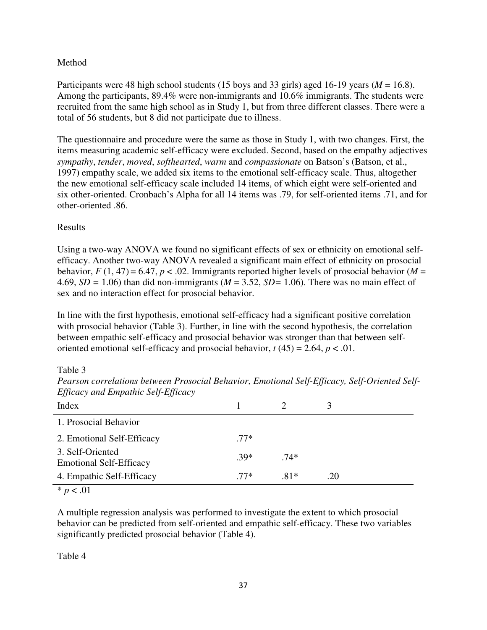### Method

Participants were 48 high school students (15 boys and 33 girls) aged 16-19 years (*M* = 16.8). Among the participants, 89.4% were non-immigrants and 10.6% immigrants. The students were recruited from the same high school as in Study 1, but from three different classes. There were a total of 56 students, but 8 did not participate due to illness.

The questionnaire and procedure were the same as those in Study 1, with two changes. First, the items measuring academic self-efficacy were excluded. Second, based on the empathy adjectives *sympathy*, *tender*, *moved*, *softhearted*, *warm* and *compassionate* on Batson's (Batson, et al., 1997) empathy scale, we added six items to the emotional self-efficacy scale. Thus, altogether the new emotional self-efficacy scale included 14 items, of which eight were self-oriented and six other-oriented. Cronbach's Alpha for all 14 items was .79, for self-oriented items .71, and for other-oriented .86.

#### Results

Using a two-way ANOVA we found no significant effects of sex or ethnicity on emotional selfefficacy. Another two-way ANOVA revealed a significant main effect of ethnicity on prosocial behavior,  $F(1, 47) = 6.47$ ,  $p < .02$ . Immigrants reported higher levels of prosocial behavior (*M* = 4.69, *SD =* 1.06) than did non-immigrants (*M* = 3.52, *SD=* 1.06). There was no main effect of sex and no interaction effect for prosocial behavior.

In line with the first hypothesis, emotional self-efficacy had a significant positive correlation with prosocial behavior (Table 3). Further, in line with the second hypothesis, the correlation between empathic self-efficacy and prosocial behavior was stronger than that between selforiented emotional self-efficacy and prosocial behavior,  $t(45) = 2.64$ ,  $p < .01$ .

Table 3

| $\cdots$                                           |        |        |     |
|----------------------------------------------------|--------|--------|-----|
| Index                                              |        |        |     |
| 1. Prosocial Behavior                              |        |        |     |
| 2. Emotional Self-Efficacy                         | $.77*$ |        |     |
| 3. Self-Oriented<br><b>Emotional Self-Efficacy</b> | $39*$  | $74*$  |     |
| 4. Empathic Self-Efficacy                          | $77*$  | $.81*$ | .20 |
| $* - 01$                                           |        |        |     |

*Pearson correlations between Prosocial Behavior, Emotional Self-Efficacy, Self-Oriented Self-Efficacy and Empathic Self-Efficacy*

 $* p < .01$ 

A multiple regression analysis was performed to investigate the extent to which prosocial behavior can be predicted from self-oriented and empathic self-efficacy. These two variables significantly predicted prosocial behavior (Table 4).

Table 4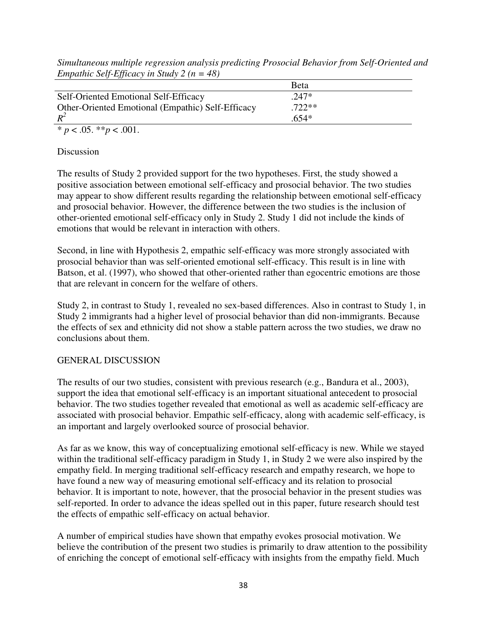*Simultaneous multiple regression analysis predicting Prosocial Behavior from Self-Oriented and Empathic Self-Efficacy in Study 2 (n = 48)* 

|                                                   | <b>B</b> eta |
|---------------------------------------------------|--------------|
| Self-Oriented Emotional Self-Efficacy             | $.247*$      |
| Other-Oriented Emotional (Empathic) Self-Efficacy | $.722**$     |
| $R^2$                                             | .654*        |
| * $p < .05$ . ** $p < .001$ .                     |              |

Discussion

The results of Study 2 provided support for the two hypotheses. First, the study showed a positive association between emotional self-efficacy and prosocial behavior. The two studies may appear to show different results regarding the relationship between emotional self-efficacy and prosocial behavior. However, the difference between the two studies is the inclusion of other-oriented emotional self-efficacy only in Study 2. Study 1 did not include the kinds of emotions that would be relevant in interaction with others.

Second, in line with Hypothesis 2, empathic self-efficacy was more strongly associated with prosocial behavior than was self-oriented emotional self-efficacy. This result is in line with Batson, et al. (1997), who showed that other-oriented rather than egocentric emotions are those that are relevant in concern for the welfare of others.

Study 2, in contrast to Study 1, revealed no sex-based differences. Also in contrast to Study 1, in Study 2 immigrants had a higher level of prosocial behavior than did non-immigrants. Because the effects of sex and ethnicity did not show a stable pattern across the two studies, we draw no conclusions about them.

## GENERAL DISCUSSION

The results of our two studies, consistent with previous research (e.g., Bandura et al., 2003), support the idea that emotional self-efficacy is an important situational antecedent to prosocial behavior. The two studies together revealed that emotional as well as academic self-efficacy are associated with prosocial behavior. Empathic self-efficacy, along with academic self-efficacy, is an important and largely overlooked source of prosocial behavior.

As far as we know, this way of conceptualizing emotional self-efficacy is new. While we stayed within the traditional self-efficacy paradigm in Study 1, in Study 2 we were also inspired by the empathy field. In merging traditional self-efficacy research and empathy research, we hope to have found a new way of measuring emotional self-efficacy and its relation to prosocial behavior. It is important to note, however, that the prosocial behavior in the present studies was self-reported. In order to advance the ideas spelled out in this paper, future research should test the effects of empathic self-efficacy on actual behavior.

A number of empirical studies have shown that empathy evokes prosocial motivation. We believe the contribution of the present two studies is primarily to draw attention to the possibility of enriching the concept of emotional self-efficacy with insights from the empathy field. Much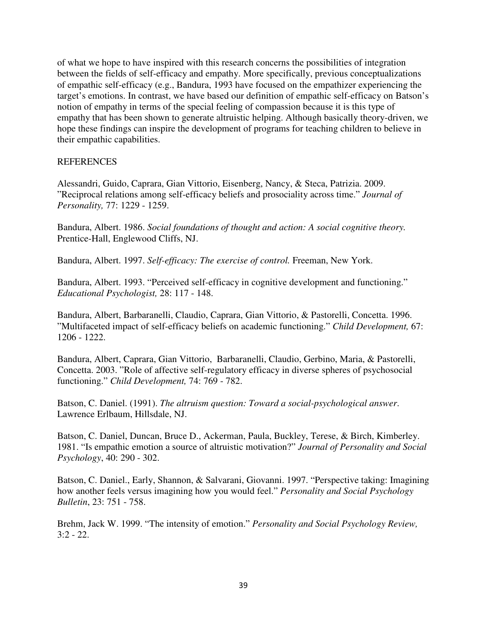of what we hope to have inspired with this research concerns the possibilities of integration between the fields of self-efficacy and empathy. More specifically, previous conceptualizations of empathic self-efficacy (e.g., Bandura, 1993 have focused on the empathizer experiencing the target's emotions. In contrast, we have based our definition of empathic self-efficacy on Batson's notion of empathy in terms of the special feeling of compassion because it is this type of empathy that has been shown to generate altruistic helping. Although basically theory-driven, we hope these findings can inspire the development of programs for teaching children to believe in their empathic capabilities.

#### **REFERENCES**

Alessandri, Guido, Caprara, Gian Vittorio, Eisenberg, Nancy, & Steca, Patrizia. 2009. "Reciprocal relations among self-efficacy beliefs and prosociality across time." *Journal of Personality,* 77: 1229 - 1259.

Bandura, Albert. 1986. *Social foundations of thought and action: A social cognitive theory.* Prentice-Hall, Englewood Cliffs, NJ.

Bandura, Albert. 1997. *Self-efficacy: The exercise of control.* Freeman, New York.

Bandura, Albert. 1993. "Perceived self-efficacy in cognitive development and functioning." *Educational Psychologist,* 28: 117 - 148.

Bandura, Albert, Barbaranelli, Claudio, Caprara, Gian Vittorio, & Pastorelli, Concetta. 1996. "Multifaceted impact of self-efficacy beliefs on academic functioning." *Child Development,* 67: 1206 - 1222.

Bandura, Albert, Caprara, Gian Vittorio, Barbaranelli, Claudio, Gerbino, Maria, & Pastorelli, Concetta. 2003. "Role of affective self-regulatory efficacy in diverse spheres of psychosocial functioning." *Child Development,* 74: 769 - 782.

Batson, C. Daniel. (1991). *The altruism question: Toward a social-psychological answer*. Lawrence Erlbaum, Hillsdale, NJ.

Batson, C. Daniel, Duncan, Bruce D., Ackerman, Paula, Buckley, Terese, & Birch, Kimberley. 1981. "Is empathic emotion a source of altruistic motivation?" *Journal of Personality and Social Psychology*, 40: 290 - 302.

Batson, C. Daniel., Early, Shannon, & Salvarani, Giovanni. 1997. "Perspective taking: Imagining how another feels versus imagining how you would feel." *Personality and Social Psychology Bulletin*, 23: 751 - 758.

Brehm, Jack W. 1999. "The intensity of emotion." *Personality and Social Psychology Review,*  3:2 - 22.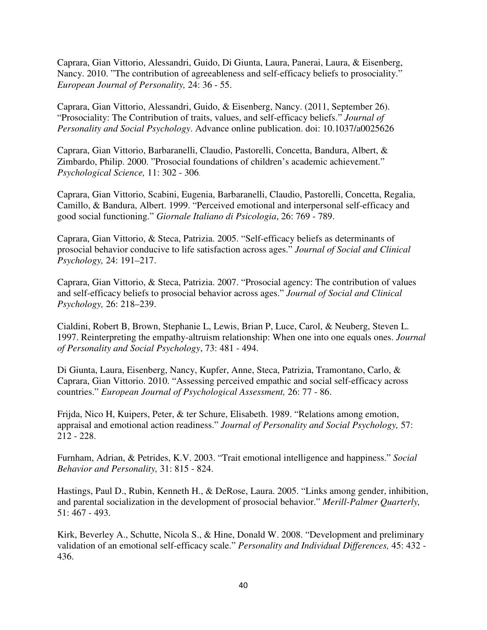Caprara, Gian Vittorio, Alessandri, Guido, Di Giunta, Laura, Panerai, Laura, & Eisenberg, Nancy. 2010. "The contribution of agreeableness and self-efficacy beliefs to prosociality." *European Journal of Personality,* 24: 36 - 55.

Caprara, Gian Vittorio, Alessandri, Guido, & Eisenberg, Nancy. (2011, September 26). "Prosociality: The Contribution of traits, values, and self-efficacy beliefs." *Journal of Personality and Social Psychology*. Advance online publication. doi: 10.1037/a0025626

Caprara, Gian Vittorio, Barbaranelli, Claudio, Pastorelli, Concetta, Bandura, Albert, & Zimbardo, Philip. 2000. "Prosocial foundations of children's academic achievement." *Psychological Science,* 11: 302 - 306.

Caprara, Gian Vittorio, Scabini, Eugenia, Barbaranelli, Claudio, Pastorelli, Concetta, Regalia, Camillo, & Bandura, Albert. 1999. "Perceived emotional and interpersonal self-efficacy and good social functioning." *Giornale Italiano di Psicologia*, 26: 769 - 789.

Caprara, Gian Vittorio, & Steca, Patrizia. 2005. "Self-efficacy beliefs as determinants of prosocial behavior conducive to life satisfaction across ages." *Journal of Social and Clinical Psychology,* 24: 191–217.

Caprara, Gian Vittorio, & Steca, Patrizia. 2007. "Prosocial agency: The contribution of values and self-efficacy beliefs to prosocial behavior across ages." *Journal of Social and Clinical Psychology,* 26: 218–239.

Cialdini, Robert B, Brown, Stephanie L, Lewis, Brian P, Luce, Carol, & Neuberg, Steven L. 1997. Reinterpreting the empathy-altruism relationship: When one into one equals ones. *Journal of Personality and Social Psychology*, 73: 481 - 494.

Di Giunta, Laura, Eisenberg, Nancy, Kupfer, Anne, Steca, Patrizia, Tramontano, Carlo, & Caprara, Gian Vittorio. 2010. "Assessing perceived empathic and social self-efficacy across countries." *European Journal of Psychological Assessment,* 26: 77 - 86.

Frijda, Nico H, Kuipers, Peter, & ter Schure, Elisabeth. 1989. "Relations among emotion, appraisal and emotional action readiness." *Journal of Personality and Social Psychology,* 57: 212 - 228.

Furnham, Adrian, & Petrides, K.V. 2003. "Trait emotional intelligence and happiness." *Social Behavior and Personality,* 31: 815 - 824.

Hastings, Paul D., Rubin, Kenneth H., & DeRose, Laura. 2005. "Links among gender, inhibition, and parental socialization in the development of prosocial behavior." *Merill-Palmer Quarterly,*  51: 467 - 493.

Kirk, Beverley A., Schutte, Nicola S., & Hine, Donald W. 2008. "Development and preliminary validation of an emotional self-efficacy scale." *Personality and Individual Differences,* 45: 432 - 436.